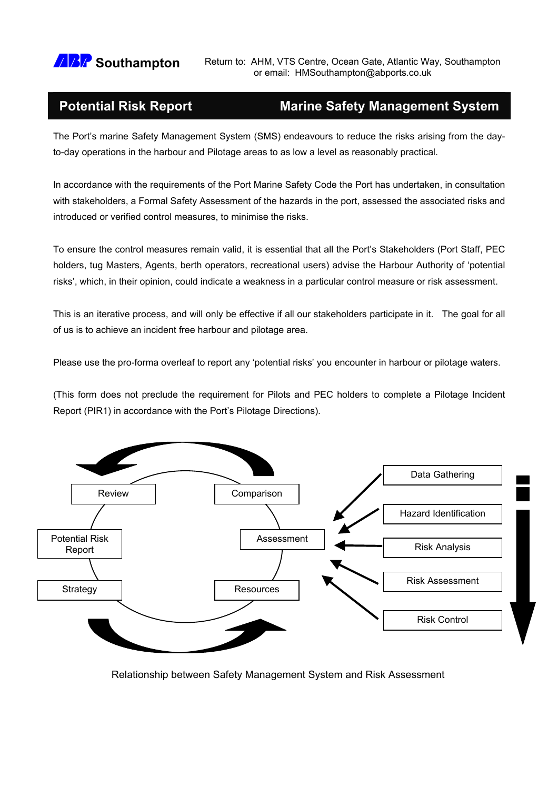

**ARP Southampton** Return to: AHM, VTS Centre, Ocean Gate, Atlantic Way, Southampton **Southampton** or email: HMSouthampton **@abports.co.uk** 

## **Potential Risk Report Marine Safety Management System**

The Port's marine Safety Management System (SMS) endeavours to reduce the risks arising from the dayto-day operations in the harbour and Pilotage areas to as low a level as reasonably practical.

In accordance with the requirements of the Port Marine Safety Code the Port has undertaken, in consultation with stakeholders, a Formal Safety Assessment of the hazards in the port, assessed the associated risks and introduced or verified control measures, to minimise the risks.

To ensure the control measures remain valid, it is essential that all the Port's Stakeholders (Port Staff, PEC holders, tug Masters, Agents, berth operators, recreational users) advise the Harbour Authority of 'potential risks', which, in their opinion, could indicate a weakness in a particular control measure or risk assessment.

This is an iterative process, and will only be effective if all our stakeholders participate in it. The goal for all of us is to achieve an incident free harbour and pilotage area.

Please use the pro-forma overleaf to report any 'potential risks' you encounter in harbour or pilotage waters.

(This form does not preclude the requirement for Pilots and PEC holders to complete a Pilotage Incident Report (PIR1) in accordance with the Port's Pilotage Directions).



Relationship between Safety Management System and Risk Assessment